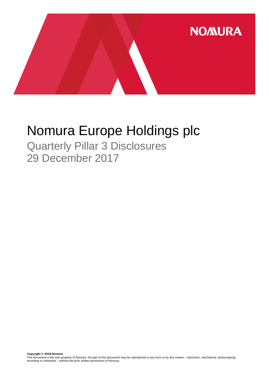

# Nomura Europe Holdings plc

Quarterly Pillar 3 Disclosures 29 December 2017

**Copyright © 2018 Nomura**<br>This document is the sole property of Nomura. No part of this document may be reproduced in any form or by any means – electronic, mechanical, photocopying,<br>recording or otherwise – without the pr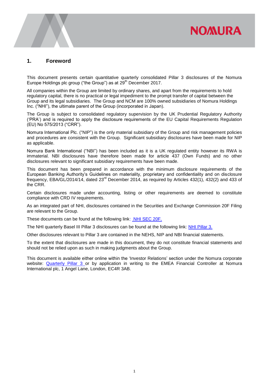## **NOMURA**

#### **1. Foreword**

This document presents certain quantitative quarterly consolidated Pillar 3 disclosures of the Nomura Europe Holdings plc group ("the Group") as at  $29<sup>th</sup>$  December 2017.

All companies within the Group are limited by ordinary shares, and apart from the requirements to hold regulatory capital, there is no practical or legal impediment to the prompt transfer of capital between the Group and its legal subsidiaries. The Group and NCM are 100% owned subsidiaries of Nomura Holdings Inc. ("NHI"), the ultimate parent of the Group (incorporated in Japan).

The Group is subject to consolidated regulatory supervision by the UK Prudential Regulatory Authority ('PRA') and is required to apply the disclosure requirements of the EU Capital Requirements Regulation (EU) No 575/2013 ("CRR").

Nomura International Plc. ("NIP") is the only material subsidiary of the Group and risk management policies and procedures are consistent with the Group. Significant subsidiary disclosures have been made for NIP as applicable.

Nomura Bank International ("NBI") has been included as it is a UK regulated entity however its RWA is immaterial. NBI disclosures have therefore been made for article 437 (Own Funds) and no other disclosures relevant to significant subsidiary requirements have been made.

This document has been prepared in accordance with the minimum disclosure requirements of the European Banking Authority's Guidelines on materiality, proprietary and confidentiality and on disclosure frequency, EBA/GL/2014/14, dated 23<sup>rd</sup> December 2014, as required by Articles 432(1), 432(2) and 433 of the CRR.

Certain disclosures made under accounting, listing or other requirements are deemed to constitute compliance with CRD IV requirements.

As an integrated part of NHI, disclosures contained in the Securities and Exchange Commission 20F Filing are relevant to the Group.

These documents can be found at the following link: [NHI SEC 20F.](http://www.nomuraholdings.com/investor/library/sec/index.html)

The NHI quarterly Basel III Pillar 3 disclosures can be found at the following link: [NHI Pillar 3.](http://www.nomuraholdings.com/investor/summary/highlight/ratio.html)

Other disclosures relevant to Pillar 3 are contained in the NEHS, NIP and NBI financial statements.

To the extent that disclosures are made in this document, they do not constitute financial statements and should not be relied upon as such in making judgments about the Group.

This document is available either online within the 'Investor Relations' section under the Nomura corporate website: [Quarterly Pillar 3](https://www.nomuranow.com/portal/site/nnextranet/en/regulatory-disclosures/) or by application in writing to the EMEA Financial Controller at Nomura International plc, 1 Angel Lane, London, EC4R 3AB.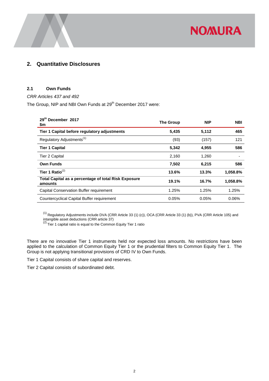

### **2. Quantitative Disclosures**

#### **2.1 Own Funds**

#### *CRR Articles 437 and 492*

The Group, NIP and NBI Own Funds at 29<sup>th</sup> December 2017 were:

| 29th December 2017<br>\$m                                       | <b>The Group</b> | <b>NIP</b> | <b>NBI</b> |
|-----------------------------------------------------------------|------------------|------------|------------|
| Tier 1 Capital before regulatory adjustments                    | 5,435            | 5,112      | 465        |
| Regulatory Adjustments <sup>(1)</sup>                           | (93)             | (157)      | 121        |
| <b>Tier 1 Capital</b>                                           | 5,342            | 4,955      | 586        |
| Tier 2 Capital                                                  | 2,160            | 1,260      |            |
| <b>Own Funds</b>                                                | 7,502            | 6,215      | 586        |
| Tier 1 Ratio $^{(2)}$                                           | 13.6%            | 13.3%      | 1,058.8%   |
| Total Capital as a percentage of total Risk Exposure<br>amounts | 19.1%            | 16.7%      | 1,058.8%   |
| Capital Conservation Buffer requirement                         | 1.25%            | 1.25%      | 1.25%      |
| Countercyclical Capital Buffer requirement                      | 0.05%            | 0.05%      | 0.06%      |

 $^{(1)}$  Regulatory Adjustments include DVA (CRR Article 33 (1) (c)), OCA (CRR Article 33 (1) (b)), PVA (CRR Article 105) and

intangible asset deductions (CRR article 37)<br><sup>(2)</sup> Tier 1 capital ratio is equal to the Common Equity Tier 1 ratio

There are no innovative Tier 1 instruments held nor expected loss amounts. No restrictions have been applied to the calculation of Common Equity Tier 1 or the prudential filters to Common Equity Tier 1. The Group is not applying transitional provisions of CRD IV to Own Funds.

Tier 1 Capital consists of share capital and reserves.

Tier 2 Capital consists of subordinated debt.